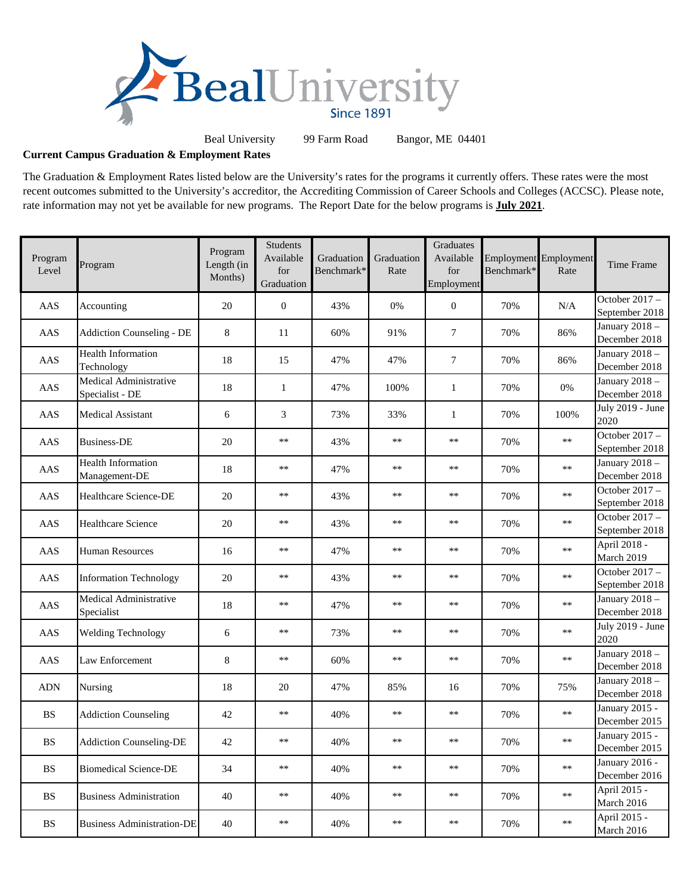

Beal University 99 Farm Road Bangor, ME 04401

## **Current Campus Graduation & Employment Rates**

The Graduation & Employment Rates listed below are the University's rates for the programs it currently offers. These rates were the most recent outcomes submitted to the University's accreditor, the Accrediting Commission of Career Schools and Colleges (ACCSC). Please note, rate information may not yet be available for new programs. The Report Date for the below programs is **July 2021**.

| Program<br>Level       | Program                                    | Program<br>Length (in<br>Months) | Students<br>Available<br>for<br>Graduation | Graduation<br>Benchmark* | Graduation<br>Rate | Graduates<br>Available<br>for<br>Employment | Benchmark* | <b>Employment</b> Employment<br>Rate | Time Frame                             |
|------------------------|--------------------------------------------|----------------------------------|--------------------------------------------|--------------------------|--------------------|---------------------------------------------|------------|--------------------------------------|----------------------------------------|
| AAS                    | Accounting                                 | 20                               | $\boldsymbol{0}$                           | 43%                      | $0\%$              | $\boldsymbol{0}$                            | 70%        | N/A                                  | October 2017 -<br>September 2018       |
| AAS                    | <b>Addiction Counseling - DE</b>           | 8                                | 11                                         | 60%                      | 91%                | 7                                           | 70%        | 86%                                  | January 2018-<br>December 2018         |
| AAS                    | <b>Health Information</b><br>Technology    | 18                               | 15                                         | 47%                      | 47%                | 7                                           | 70%        | 86%                                  | January 2018 -<br>December 2018        |
| AAS                    | Medical Administrative<br>Specialist - DE  | 18                               | $\mathbf{1}$                               | 47%                      | 100%               | $\mathbf{1}$                                | 70%        | 0%                                   | January 2018-<br>December 2018         |
| AAS                    | <b>Medical Assistant</b>                   | 6                                | 3                                          | 73%                      | 33%                | $\mathbf{1}$                                | 70%        | 100%                                 | July 2019 - June<br>2020               |
| AAS                    | <b>Business-DE</b>                         | 20                               | $***$                                      | 43%                      | $***$              | $\ast\ast$                                  | 70%        | $**$                                 | October 2017 -<br>September 2018       |
| AAS                    | <b>Health Information</b><br>Management-DE | 18                               | $***$                                      | 47%                      | $***$              | $\ast\ast$                                  | 70%        | $**$                                 | January 2018-<br>December 2018         |
| AAS                    | Healthcare Science-DE                      | 20                               | $***$                                      | 43%                      | $***$              | $\ast\ast$                                  | 70%        | $**$                                 | October $2017 -$<br>September 2018     |
| AAS                    | Healthcare Science                         | 20                               | $**$                                       | 43%                      | $**$               | $**$                                        | 70%        | $**$                                 | October 2017 -<br>September 2018       |
| AAS                    | <b>Human Resources</b>                     | 16                               | $**$                                       | 47%                      | $**$               | $**$                                        | 70%        | $**$                                 | April 2018 -<br>March 2019             |
| AAS                    | <b>Information Technology</b>              | 20                               | $**$                                       | 43%                      | $**$               | $**$                                        | 70%        | $**$                                 | October 2017 -<br>September 2018       |
| AAS                    | Medical Administrative<br>Specialist       | 18                               | $***$                                      | 47%                      | $**$               | $**$                                        | 70%        | $**$                                 | January 2018 -<br>December 2018        |
| AAS                    | <b>Welding Technology</b>                  | 6                                | $***$                                      | 73%                      | $**$               | $**$                                        | 70%        | $**$                                 | July 2019 - June<br>2020               |
| AAS                    | Law Enforcement                            | 8                                | $***$                                      | 60%                      | $**$               | $**$                                        | 70%        | $**$                                 | January 2018 $-$<br>December 2018      |
| <b>ADN</b>             | Nursing                                    | 18                               | 20                                         | 47%                      | 85%                | 16                                          | 70%        | 75%                                  | January 2018-<br>December 2018         |
| <b>BS</b>              | <b>Addiction Counseling</b>                | 42                               | $***$                                      | 40%                      | $\ast\ast$         | $\ast\ast$                                  | 70%        | $**$                                 | <b>January 2015 -</b><br>December 2015 |
| $\mathbf{B}\mathbf{S}$ | <b>Addiction Counseling-DE</b>             | 42                               | **                                         | 40%                      | $***$              | $***$                                       | 70%        | $**$                                 | January 2015 -<br>December 2015        |
| <b>BS</b>              | <b>Biomedical Science-DE</b>               | 34                               | $***$                                      | 40%                      | $***$              | $***$                                       | 70%        | $**$                                 | January 2016 -<br>December 2016        |
| $\mathbf{B}\mathbf{S}$ | <b>Business Administration</b>             | 40                               | **                                         | 40%                      | $**$               | $***$                                       | 70%        | $\ast\ast$                           | April 2015 -<br>March 2016             |
| <b>BS</b>              | <b>Business Administration-DE</b>          | 40                               | **                                         | 40%                      | $**$               | $***$                                       | 70%        | $**$                                 | April 2015 -<br>March 2016             |